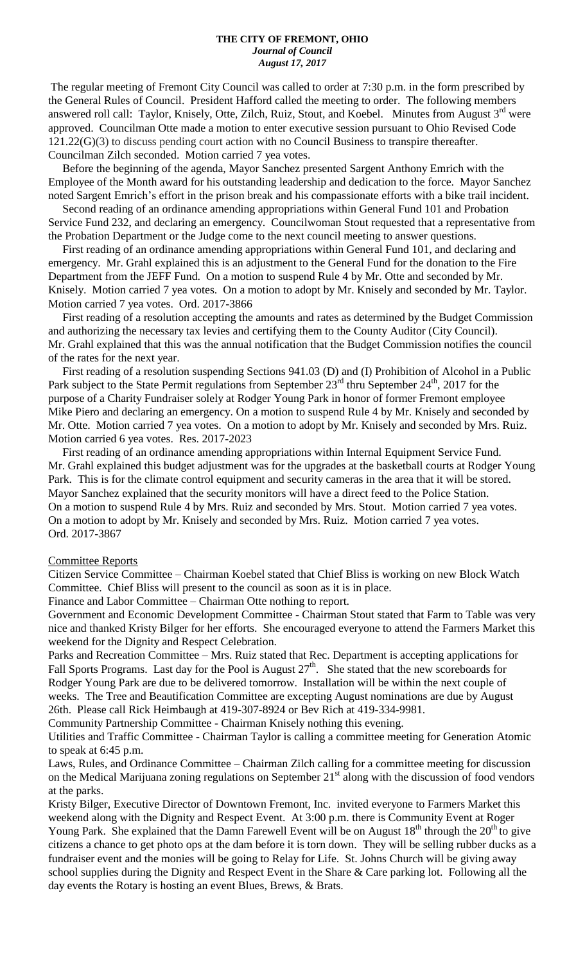#### **THE CITY OF FREMONT, OHIO** *Journal of Council August 17, 2017*

The regular meeting of Fremont City Council was called to order at 7:30 p.m. in the form prescribed by the General Rules of Council. President Hafford called the meeting to order. The following members answered roll call: Taylor, Knisely, Otte, Zilch, Ruiz, Stout, and Koebel. Minutes from August 3<sup>rd</sup> were approved. Councilman Otte made a motion to enter executive session pursuant to Ohio Revised Code 121.22(G)(3) to discuss pending court action with no Council Business to transpire thereafter. Councilman Zilch seconded. Motion carried 7 yea votes.

 Before the beginning of the agenda, Mayor Sanchez presented Sargent Anthony Emrich with the Employee of the Month award for his outstanding leadership and dedication to the force. Mayor Sanchez noted Sargent Emrich's effort in the prison break and his compassionate efforts with a bike trail incident.

 Second reading of an ordinance amending appropriations within General Fund 101 and Probation Service Fund 232, and declaring an emergency. Councilwoman Stout requested that a representative from the Probation Department or the Judge come to the next council meeting to answer questions.

 First reading of an ordinance amending appropriations within General Fund 101, and declaring and emergency. Mr. Grahl explained this is an adjustment to the General Fund for the donation to the Fire Department from the JEFF Fund. On a motion to suspend Rule 4 by Mr. Otte and seconded by Mr. Knisely. Motion carried 7 yea votes. On a motion to adopt by Mr. Knisely and seconded by Mr. Taylor. Motion carried 7 yea votes. Ord. 2017-3866

 First reading of a resolution accepting the amounts and rates as determined by the Budget Commission and authorizing the necessary tax levies and certifying them to the County Auditor (City Council). Mr. Grahl explained that this was the annual notification that the Budget Commission notifies the council of the rates for the next year.

 First reading of a resolution suspending Sections 941.03 (D) and (I) Prohibition of Alcohol in a Public Park subject to the State Permit regulations from September 23<sup>rd</sup> thru September 24<sup>th</sup>, 2017 for the purpose of a Charity Fundraiser solely at Rodger Young Park in honor of former Fremont employee Mike Piero and declaring an emergency. On a motion to suspend Rule 4 by Mr. Knisely and seconded by Mr. Otte. Motion carried 7 yea votes. On a motion to adopt by Mr. Knisely and seconded by Mrs. Ruiz. Motion carried 6 yea votes. Res. 2017-2023

 First reading of an ordinance amending appropriations within Internal Equipment Service Fund. Mr. Grahl explained this budget adjustment was for the upgrades at the basketball courts at Rodger Young Park. This is for the climate control equipment and security cameras in the area that it will be stored. Mayor Sanchez explained that the security monitors will have a direct feed to the Police Station. On a motion to suspend Rule 4 by Mrs. Ruiz and seconded by Mrs. Stout. Motion carried 7 yea votes. On a motion to adopt by Mr. Knisely and seconded by Mrs. Ruiz. Motion carried 7 yea votes. Ord. 2017-3867

#### Committee Reports

Citizen Service Committee – Chairman Koebel stated that Chief Bliss is working on new Block Watch Committee. Chief Bliss will present to the council as soon as it is in place.

Finance and Labor Committee – Chairman Otte nothing to report.

Government and Economic Development Committee - Chairman Stout stated that Farm to Table was very nice and thanked Kristy Bilger for her efforts. She encouraged everyone to attend the Farmers Market this weekend for the Dignity and Respect Celebration.

Parks and Recreation Committee – Mrs. Ruiz stated that Rec. Department is accepting applications for Fall Sports Programs. Last day for the Pool is August  $27<sup>th</sup>$ . She stated that the new scoreboards for Rodger Young Park are due to be delivered tomorrow. Installation will be within the next couple of weeks. The Tree and Beautification Committee are excepting August nominations are due by August 26th. Please call Rick Heimbaugh at 419-307-8924 or Bev Rich at 419-334-9981.

Community Partnership Committee - Chairman Knisely nothing this evening.

Utilities and Traffic Committee - Chairman Taylor is calling a committee meeting for Generation Atomic to speak at 6:45 p.m.

Laws, Rules, and Ordinance Committee – Chairman Zilch calling for a committee meeting for discussion on the Medical Marijuana zoning regulations on September  $21<sup>st</sup>$  along with the discussion of food vendors at the parks.

Kristy Bilger, Executive Director of Downtown Fremont, Inc. invited everyone to Farmers Market this weekend along with the Dignity and Respect Event. At 3:00 p.m. there is Community Event at Roger Young Park. She explained that the Damn Farewell Event will be on August  $18<sup>th</sup>$  through the  $20<sup>th</sup>$  to give citizens a chance to get photo ops at the dam before it is torn down. They will be selling rubber ducks as a fundraiser event and the monies will be going to Relay for Life. St. Johns Church will be giving away school supplies during the Dignity and Respect Event in the Share & Care parking lot. Following all the day events the Rotary is hosting an event Blues, Brews, & Brats.